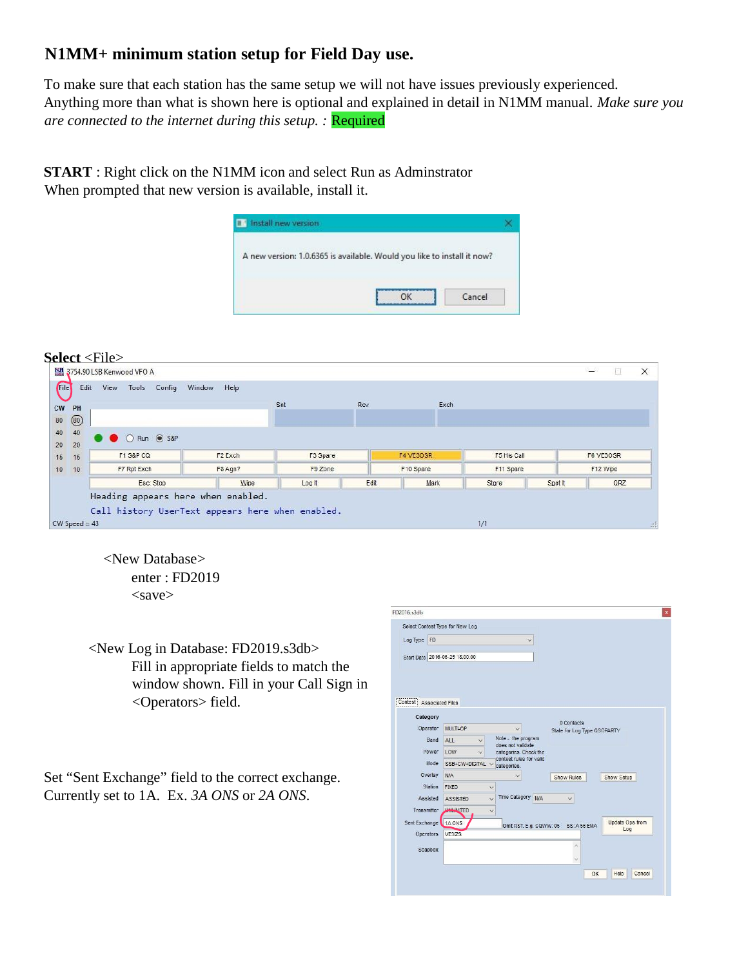# **N1MM+ minimum station setup for Field Day use.**

To make sure that each station has the same setup we will not have issues previously experienced. Anything more than what is shown here is optional and explained in detail in N1MM manual. *Make sure you are connected to the internet during this setup.* : **Required** 

**START** : Right click on the N1MM icon and select Run as Adminstrator When prompted that new version is available, install it.



### **Select** <File>

| _________             |                 | 3754.90 LSB Kenwood VFO A |                   |             |                                                                                        |     |          |      |                  |      |                     |         | $\equiv$         |          | × |
|-----------------------|-----------------|---------------------------|-------------------|-------------|----------------------------------------------------------------------------------------|-----|----------|------|------------------|------|---------------------|---------|------------------|----------|---|
| File                  | Edit            |                           | View Tools Config | Window Help |                                                                                        |     |          |      |                  |      |                     |         |                  |          |   |
| CW<br>PH              |                 |                           |                   |             |                                                                                        | Snt |          | Rcv  |                  | Exch |                     |         |                  |          |   |
| $\circledS$<br>$80\,$ |                 |                           |                   |             |                                                                                        |     |          |      |                  |      |                     |         |                  |          |   |
| 40<br>40              |                 |                           |                   |             |                                                                                        |     |          |      |                  |      |                     |         |                  |          |   |
| 20<br>20              |                 |                           | C Run @ S&P       |             |                                                                                        |     |          |      |                  |      |                     |         |                  |          |   |
| 15<br>15              |                 | F1 S&P CQ                 |                   |             | F <sub>2</sub> Exch                                                                    |     | F3 Spare |      | <b>F4 VE30SR</b> |      | F5 His Call         |         | <b>F6 VE30SR</b> |          |   |
| 10<br>10              |                 | F7 Rpt Exch               |                   |             | F8 Agn?                                                                                |     | F9 Zone  |      | F10 Spare        |      | F11 Spare           |         |                  | F12 Wipe |   |
|                       |                 |                           | Esc: Stop         |             | Wipe                                                                                   |     | Log It   | Edit | Mark             |      | Store               | Spot it |                  | QRZ      |   |
|                       | $CW$ Speed = 43 |                           |                   |             | Heading appears here when enabled.<br>Call history UserText appears here when enabled. |     |          |      |                  |      | <b>STORY</b><br>1/1 |         |                  |          |   |

enter : FD2019  $<$ save $>$ <New Database>

<New Log in Database: FD2019.s3db> Fill in appropriate fields to match the window shown. Fill in your Call Sign in <Operators> field.

Set "Sent Exchange" field to the correct exchange. Currently set to 1A. Ex. *3A ONS* or *2A ONS*.

| FD2016.s3db        |                                 |                                         |            |                                           |    |                        |        |
|--------------------|---------------------------------|-----------------------------------------|------------|-------------------------------------------|----|------------------------|--------|
|                    | Select Contest Type for New Log |                                         |            |                                           |    |                        |        |
| Log Type FD        |                                 |                                         | O          |                                           |    |                        |        |
|                    | Start Date 2016-06-25 18:00:00  |                                         |            |                                           |    |                        |        |
|                    |                                 |                                         |            |                                           |    |                        |        |
|                    | Contest Associated Files        |                                         |            |                                           |    |                        |        |
| Category           |                                 |                                         |            |                                           |    |                        |        |
|                    | Operator<br><b>MULTLOP</b>      | $\checkmark$                            |            | 0 Contacts<br>State for Log Type QSOPARTY |    |                        |        |
|                    | Band<br>ALL<br>$\checkmark$     | Note - the program<br>does not validate |            |                                           |    |                        |        |
|                    | Power<br>LOW<br>$\vee$          | categories. Check the                   |            |                                           |    |                        |        |
|                    | Mode<br>SSB+CW+DIGITAL V        | contest rules for valid<br>categories.  |            |                                           |    |                        |        |
|                    | Overlay<br><b>N/A</b>           |                                         |            | Show Rules                                |    | Show Setup             |        |
|                    | <b>Station</b><br><b>FIXED</b>  | $\checkmark$                            |            |                                           |    |                        |        |
|                    | Assisted<br><b>ASSISTED</b>     | <b>Time Category</b><br>$\vee$          | <b>N/A</b> | $\vee$                                    |    |                        |        |
| <b>Transmitter</b> | <b>UNIVERSITED</b>              | $\checkmark$                            |            |                                           |    |                        |        |
| Sent Exchange      | 1A ONS                          | Omit RST. E.g. CQWW: 05                 |            | SS: A 56 EMA                              |    | Update Ops from<br>Log |        |
| <b>Operators</b>   | VE3IZS                          |                                         |            |                                           |    |                        |        |
|                    | Soapbox                         |                                         |            |                                           |    |                        |        |
|                    |                                 |                                         |            |                                           |    |                        |        |
|                    |                                 |                                         |            |                                           | OK | Help                   | Cancel |
|                    |                                 |                                         |            |                                           |    |                        |        |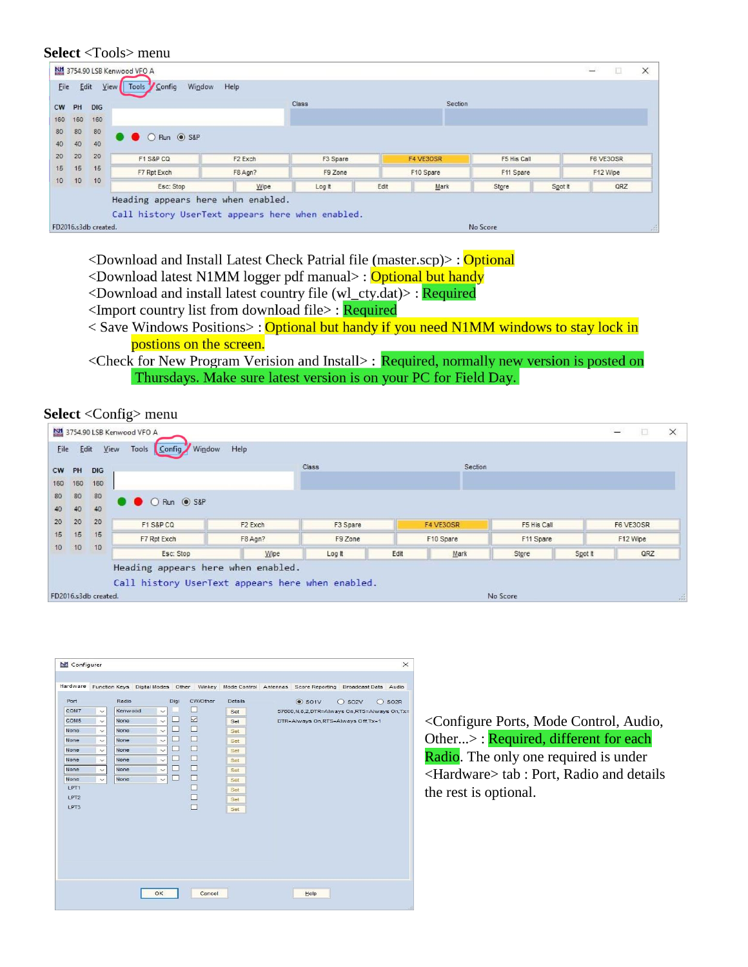#### Select <Tools> menu

|           | <b>DIG</b> |               |                     | Class    |      | Section   |             |         |           |  |
|-----------|------------|---------------|---------------------|----------|------|-----------|-------------|---------|-----------|--|
| PH<br>160 | 160        |               |                     |          |      |           |             |         |           |  |
| 80        | 80         |               |                     |          |      |           |             |         |           |  |
| 40        | 40         | C C Run C S&P |                     |          |      |           |             |         |           |  |
| 20        | 20         | F1 S&P CQ     | F <sub>2</sub> Exch | F3 Spare |      | F4 VE3OSR | F5 His Call |         | F6 VE3OSR |  |
| 15        | 15         | F7 Rpt Exch   | F8 Agn?             | F9 Zone  |      | F10 Spare | F11 Spare   |         | F12 Wipe  |  |
| 10        | 10         | Esc: Stop     | Wipe                | Log It   | Edit | Mark      | Store       | Spot It | QRZ       |  |

<Download and Install Latest Check Patrial file (master.scp)>: Optional

- <Download latest N1MM logger pdf manual>: Optional but handy
- <Download and install latest country file (wl\_cty.dat)>: Required
- <Import country list from download file>: Required
- < Save Windows Positions>: Optional but handy if you need N1MM windows to stay lock in postions on the screen.
- <Check for New Program Verision and Install>: Required, normally new version is posted on Thursdays. Make sure latest version is on your PC for Field Day.

**Select** < Config > menu



| Hardware                                                                                                                    |                                                                                                      |                                                                          |                                                                                                                                                             |                                                                                                              |                                                                                                  | Function Keys Digital Modes Other Winkey Mode Control Antennas Score Reporting Broadcast Data Audio                                                      |
|-----------------------------------------------------------------------------------------------------------------------------|------------------------------------------------------------------------------------------------------|--------------------------------------------------------------------------|-------------------------------------------------------------------------------------------------------------------------------------------------------------|--------------------------------------------------------------------------------------------------------------|--------------------------------------------------------------------------------------------------|----------------------------------------------------------------------------------------------------------------------------------------------------------|
| Port<br>COM7<br><b>COMS</b><br>None<br>None<br>None<br>None<br>None<br>None<br>LPT <sub>1</sub><br>LPT <sub>2</sub><br>LPT3 | $\sim$<br>$\sim$<br>$\checkmark$<br>$\sim$<br>$\sim$<br>$\checkmark$<br>$\checkmark$<br>$\checkmark$ | Radio<br>Kenwood<br>None<br>None<br>None<br>None<br>None<br>None<br>None | Digi<br>$\checkmark$<br>□<br>$\sim$<br>□<br>$\checkmark$<br>□<br>$\checkmark$<br>□<br>$\sim$<br>□<br>$\checkmark$<br>□<br>$\checkmark$<br>□<br>$\checkmark$ | CW/Other<br>□<br>☑<br>$\Box$<br>$\Box$<br>$\Box$<br>$\Box$<br>$\Box$<br>$\Box$<br>$\Box$<br>$\Box$<br>$\Box$ | <b>Details</b><br>Set<br>Set.<br>Set<br>Set<br>Set.<br>Set<br>Set<br>Set.<br>Set:<br>Set<br>Set: | $\odot$ SO1V<br>$O$ SO <sub>2</sub> V<br>$\bigcirc$ SO <sub>2R</sub><br>57600,N,8,2,DTR=Always On,RTS=Always On,Tx=<br>DTR=Always On,RTS=Always Off,Tx=1 |
|                                                                                                                             |                                                                                                      |                                                                          | OK                                                                                                                                                          | Cancel                                                                                                       |                                                                                                  | Help                                                                                                                                                     |

<Configure Ports, Mode Control, Audio, Other...>: Required, different for each Radio. The only one required is under <Hardware> tab : Port, Radio and details the rest is optional.